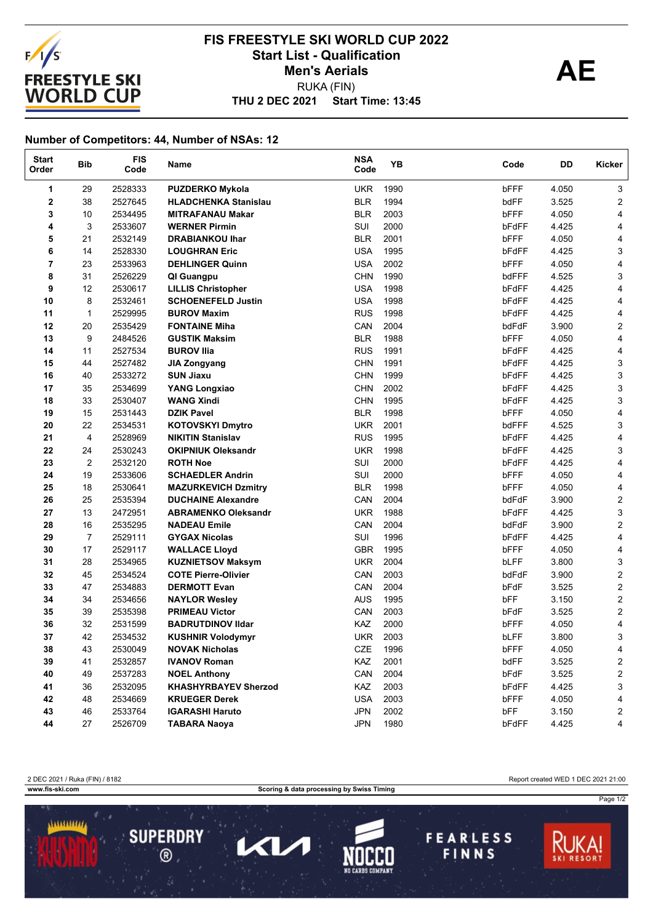

## **THU 2 DEC 2021 Start Time: 13:45 FIS FREESTYLE SKI WORLD CUP 2022** Start List - Qualification<br> **AE** RUKA (FIN) **Men's Aerials**

## **Number of Competitors: 44, Number of NSAs: 12**

| <b>Start</b><br>Order | <b>Bib</b>     | <b>FIS</b><br>Code | Name                        | <b>NSA</b><br>Code | YB   | Code  | DD    | Kicker                    |
|-----------------------|----------------|--------------------|-----------------------------|--------------------|------|-------|-------|---------------------------|
| 1                     | 29             | 2528333            | <b>PUZDERKO Mykola</b>      | <b>UKR</b>         | 1990 | bFFF  | 4.050 | 3                         |
| $\mathbf 2$           | 38             | 2527645            | <b>HLADCHENKA Stanislau</b> | <b>BLR</b>         | 1994 | bdFF  | 3.525 | $\overline{c}$            |
| 3                     | 10             | 2534495            | <b>MITRAFANAU Makar</b>     | <b>BLR</b>         | 2003 | bFFF  | 4.050 | 4                         |
| 4                     | 3              | 2533607            | <b>WERNER Pirmin</b>        | SUI                | 2000 | bFdFF | 4.425 | 4                         |
| 5                     | 21             | 2532149            | <b>DRABIANKOU Ihar</b>      | <b>BLR</b>         | 2001 | bFFF  | 4.050 | 4                         |
| 6                     | 14             | 2528330            | <b>LOUGHRAN Eric</b>        | <b>USA</b>         | 1995 | bFdFF | 4.425 | 3                         |
| 7                     | 23             | 2533963            | <b>DEHLINGER Quinn</b>      | <b>USA</b>         | 2002 | bFFF  | 4.050 | 4                         |
| 8                     | 31             | 2526229            | QI Guangpu                  | <b>CHN</b>         | 1990 | bdFFF | 4.525 | 3                         |
| 9                     | 12             | 2530617            | <b>LILLIS Christopher</b>   | <b>USA</b>         | 1998 | bFdFF | 4.425 | 4                         |
| 10                    | 8              | 2532461            | <b>SCHOENEFELD Justin</b>   | <b>USA</b>         | 1998 | bFdFF | 4.425 | 4                         |
| 11                    | $\mathbf{1}$   | 2529995            | <b>BUROV Maxim</b>          | <b>RUS</b>         | 1998 | bFdFF | 4.425 | 4                         |
| 12                    | 20             | 2535429            | <b>FONTAINE Miha</b>        | CAN                | 2004 | bdFdF | 3.900 | $\overline{c}$            |
| 13                    | 9              | 2484526            | <b>GUSTIK Maksim</b>        | <b>BLR</b>         | 1988 | bFFF  | 4.050 | 4                         |
| 14                    | 11             | 2527534            | <b>BUROV IIIa</b>           | <b>RUS</b>         | 1991 | bFdFF | 4.425 | 4                         |
| 15                    | 44             | 2527482            | <b>JIA Zongyang</b>         | <b>CHN</b>         | 1991 | bFdFF | 4.425 | $\ensuremath{\mathsf{3}}$ |
| 16                    | 40             | 2533272            | <b>SUN Jiaxu</b>            | <b>CHN</b>         | 1999 | bFdFF | 4.425 | 3                         |
| 17                    | 35             | 2534699            | YANG Longxiao               | <b>CHN</b>         | 2002 | bFdFF | 4.425 | 3                         |
| 18                    | 33             | 2530407            | <b>WANG Xindi</b>           | <b>CHN</b>         | 1995 | bFdFF | 4.425 | 3                         |
| 19                    | 15             | 2531443            | <b>DZIK Pavel</b>           | <b>BLR</b>         | 1998 | bFFF  | 4.050 | 4                         |
| 20                    | 22             | 2534531            | <b>KOTOVSKYI Dmytro</b>     | <b>UKR</b>         | 2001 | bdFFF | 4.525 | 3                         |
| 21                    | $\overline{4}$ | 2528969            | <b>NIKITIN Stanislav</b>    | <b>RUS</b>         | 1995 | bFdFF | 4.425 | 4                         |
| 22                    | 24             | 2530243            | <b>OKIPNIUK Oleksandr</b>   | <b>UKR</b>         | 1998 | bFdFF | 4.425 | 3                         |
| 23                    | 2              | 2532120            | <b>ROTH Noe</b>             | SUI                | 2000 | bFdFF | 4.425 | 4                         |
| 24                    | 19             | 2533606            | <b>SCHAEDLER Andrin</b>     | SUI                | 2000 | bFFF  | 4.050 | 4                         |
| 25                    | 18             | 2530641            | <b>MAZURKEVICH Dzmitry</b>  | <b>BLR</b>         | 1998 | bFFF  | 4.050 | 4                         |
| 26                    | 25             | 2535394            | <b>DUCHAINE Alexandre</b>   | CAN                | 2004 | bdFdF | 3.900 | $\overline{\mathbf{c}}$   |
| 27                    | 13             | 2472951            | <b>ABRAMENKO Oleksandr</b>  | <b>UKR</b>         | 1988 | bFdFF | 4.425 | 3                         |
| 28                    | 16             | 2535295            | <b>NADEAU Emile</b>         | CAN                | 2004 | bdFdF | 3.900 | $\overline{\mathbf{c}}$   |
| 29                    | $\overline{7}$ | 2529111            | <b>GYGAX Nicolas</b>        | SUI                | 1996 | bFdFF | 4.425 | 4                         |
| 30                    | 17             | 2529117            | <b>WALLACE Lloyd</b>        | <b>GBR</b>         | 1995 | bFFF  | 4.050 | 4                         |
| 31                    | 28             | 2534965            | <b>KUZNIETSOV Maksym</b>    | <b>UKR</b>         | 2004 | bLFF  | 3.800 | 3                         |
| 32                    | 45             | 2534524            | <b>COTE Pierre-Olivier</b>  | CAN                | 2003 | bdFdF | 3.900 | $\overline{c}$            |
| 33                    | 47             | 2534883            | <b>DERMOTT Evan</b>         | CAN                | 2004 | bFdF  | 3.525 | $\overline{c}$            |
| 34                    | 34             | 2534656            | <b>NAYLOR Wesley</b>        | <b>AUS</b>         | 1995 | bFF   | 3.150 | $\mathbf{2}$              |
| 35                    | 39             | 2535398            | <b>PRIMEAU Victor</b>       | CAN                | 2003 | bFdF  | 3.525 | $\overline{\mathbf{c}}$   |
| 36                    | 32             | 2531599            | <b>BADRUTDINOV IIdar</b>    | KAZ                | 2000 | bFFF  | 4.050 | 4                         |
| 37                    | 42             | 2534532            | <b>KUSHNIR Volodymyr</b>    | <b>UKR</b>         | 2003 | bLFF  | 3.800 | 3                         |
| 38                    | 43             | 2530049            | <b>NOVAK Nicholas</b>       | CZE                | 1996 | bFFF  | 4.050 | 4                         |
| 39                    | 41             | 2532857            | <b>IVANOV Roman</b>         | KAZ                | 2001 | bdFF  | 3.525 | 2                         |
| 40                    | 49             | 2537283            | <b>NOEL Anthony</b>         | CAN                | 2004 | bFdF  | 3.525 | $\overline{c}$            |
| 41                    | 36             | 2532095            | <b>KHASHYRBAYEV Sherzod</b> | <b>KAZ</b>         | 2003 | bFdFF | 4.425 | 3                         |
| 42                    | 48             | 2534669            | <b>KRUEGER Derek</b>        | <b>USA</b>         | 2003 | bFFF  | 4.050 | 4                         |
| 43                    | 46             | 2533764            | <b>IGARASHI Haruto</b>      | <b>JPN</b>         | 2002 | bFF   | 3.150 | 2                         |
| 44                    | 27             | 2526709            | <b>TABARA Naoya</b>         | <b>JPN</b>         | 1980 | bFdFF | 4.425 | 4                         |

2 DEC 2021 / Ruka (FIN) / 8182 Report created WED 1 DEC 2021 21:00